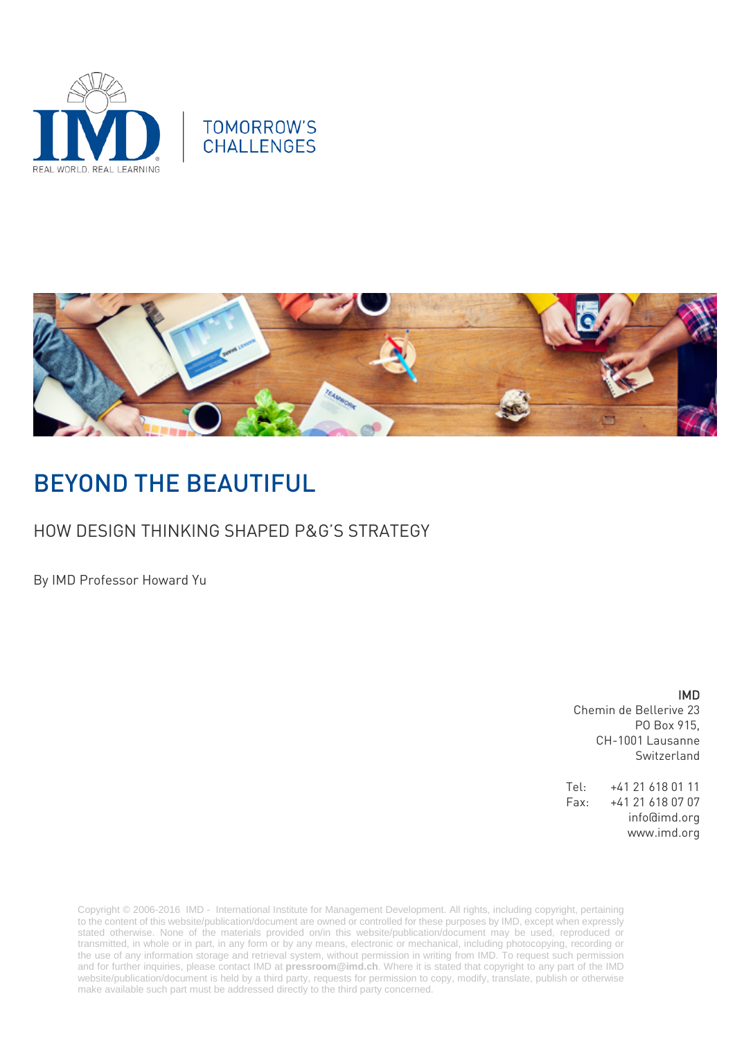



# BEYOND THE BEAUTIFUL

## HOW DESIGN THINKING SHAPED P&G'S STRATEGY

By IMD Professor Howard Yu

IMD

Chemin de Bellerive 23 PO Box 915, CH-1001 Lausanne Switzerland

Tel: +41 21 618 01 11 Fax: +41 21 618 07 07 info@imd.org www.imd.org

Copyright © 2006-2016 IMD - International Institute for Management Development. All rights, including copyright, pertaining to the content of this website/publication/document are owned or controlled for these purposes by IMD, except when expressly stated otherwise. None of the materials provided on/in this website/publication/document may be used, reproduced or transmitted, in whole or in part, in any form or by any means, electronic or mechanical, including photocopying, recording or the use of any information storage and retrieval system, without permission in writing from IMD. To request such permission and for further inquiries, please contact IMD at **[pressroom@imd.ch](mailto:pressroom@imd.ch)**. Where it is stated that copyright to any part of the IMD website/publication/document is held by a third party, requests for permission to copy, modify, translate, publish or otherwise make available such part must be addressed directly to the third party concerned.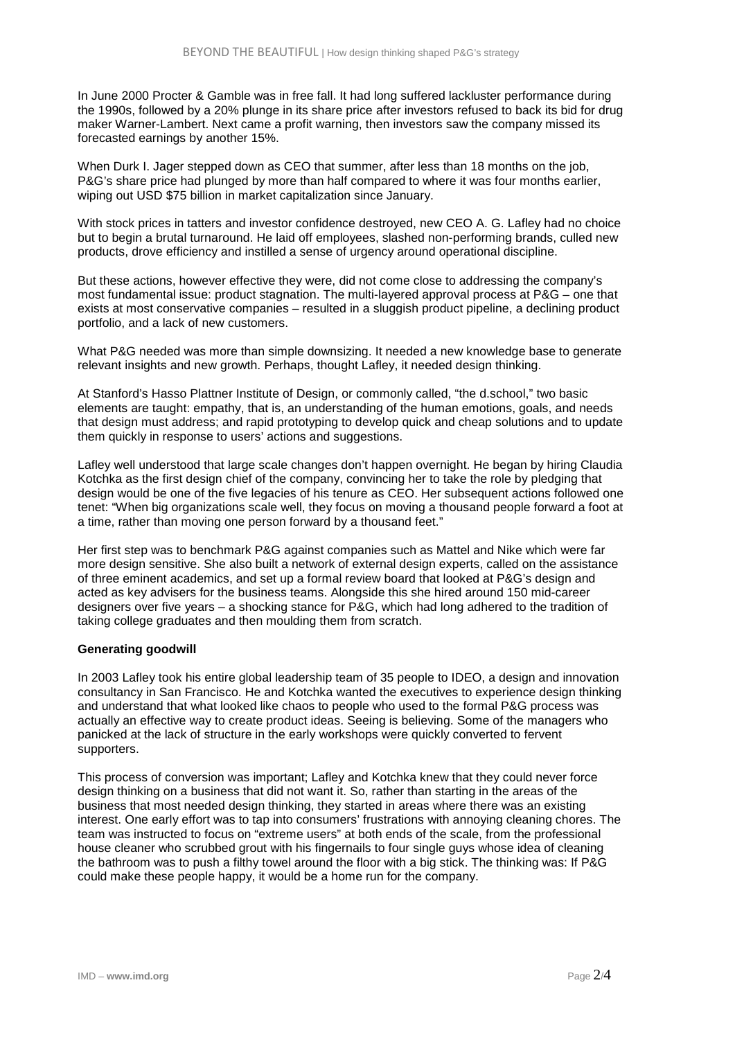In June 2000 Procter & Gamble was in free fall. It had long suffered lackluster performance during the 1990s, followed by a 20% plunge in its share price after investors refused to back its bid for drug maker Warner-Lambert. Next came a profit warning, then investors saw the company missed its forecasted earnings by another 15%.

When Durk I. Jager stepped down as CEO that summer, after less than 18 months on the job, P&G's share price had plunged by more than half compared to where it was four months earlier, wiping out USD \$75 billion in market capitalization since January.

With stock prices in tatters and investor confidence destroyed, new CEO A. G. Lafley had no choice but to begin a brutal turnaround. He laid off employees, slashed non-performing brands, culled new products, drove efficiency and instilled a sense of urgency around operational discipline.

But these actions, however effective they were, did not come close to addressing the company's most fundamental issue: product stagnation. The multi-layered approval process at P&G – one that exists at most conservative companies – resulted in a sluggish product pipeline, a declining product portfolio, and a lack of new customers.

What P&G needed was more than simple downsizing. It needed a new knowledge base to generate relevant insights and new growth. Perhaps, thought Lafley, it needed design thinking.

At Stanford's Hasso Plattner Institute of Design, or commonly called, "the d.school," two basic elements are taught: empathy, that is, an understanding of the human emotions, goals, and needs that design must address; and rapid prototyping to develop quick and cheap solutions and to update them quickly in response to users' actions and suggestions.

Lafley well understood that large scale changes don't happen overnight. He began by hiring Claudia Kotchka as the first design chief of the company, convincing her to take the role by pledging that design would be one of the five legacies of his tenure as CEO. Her subsequent actions followed one tenet: "When big organizations scale well, they focus on moving a thousand people forward a foot at a time, rather than moving one person forward by a thousand feet."

Her first step was to benchmark P&G against companies such as Mattel and Nike which were far more design sensitive. She also built a network of external design experts, called on the assistance of three eminent academics, and set up a formal review board that looked at P&G's design and acted as key advisers for the business teams. Alongside this she hired around 150 mid-career designers over five years – a shocking stance for P&G, which had long adhered to the tradition of taking college graduates and then moulding them from scratch.

### **Generating goodwill**

In 2003 Lafley took his entire global leadership team of 35 people to IDEO, a design and innovation consultancy in San Francisco. He and Kotchka wanted the executives to experience design thinking and understand that what looked like chaos to people who used to the formal P&G process was actually an effective way to create product ideas. Seeing is believing. Some of the managers who panicked at the lack of structure in the early workshops were quickly converted to fervent supporters.

This process of conversion was important; Lafley and Kotchka knew that they could never force design thinking on a business that did not want it. So, rather than starting in the areas of the business that most needed design thinking, they started in areas where there was an existing interest. One early effort was to tap into consumers' frustrations with annoying cleaning chores. The team was instructed to focus on "extreme users" at both ends of the scale, from the professional house cleaner who scrubbed grout with his fingernails to four single guys whose idea of cleaning the bathroom was to push a filthy towel around the floor with a big stick. The thinking was: If P&G could make these people happy, it would be a home run for the company.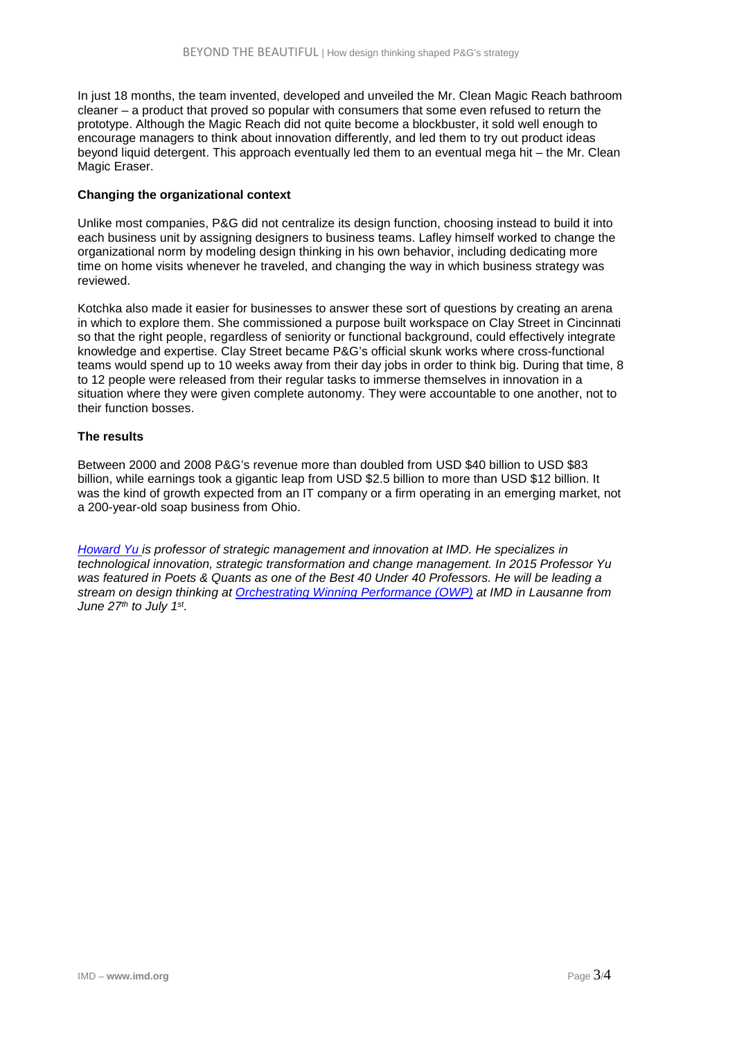In just 18 months, the team invented, developed and unveiled the Mr. Clean Magic Reach bathroom cleaner – a product that proved so popular with consumers that some even refused to return the prototype. Although the Magic Reach did not quite become a blockbuster, it sold well enough to encourage managers to think about innovation differently, and led them to try out product ideas beyond liquid detergent. This approach eventually led them to an eventual mega hit – the Mr. Clean Magic Eraser.

### **Changing the organizational context**

Unlike most companies, P&G did not centralize its design function, choosing instead to build it into each business unit by assigning designers to business teams. Lafley himself worked to change the organizational norm by modeling design thinking in his own behavior, including dedicating more time on home visits whenever he traveled, and changing the way in which business strategy was reviewed.

Kotchka also made it easier for businesses to answer these sort of questions by creating an arena in which to explore them. She commissioned a purpose built workspace on Clay Street in Cincinnati so that the right people, regardless of seniority or functional background, could effectively integrate knowledge and expertise. Clay Street became P&G's official skunk works where cross-functional teams would spend up to 10 weeks away from their day jobs in order to think big. During that time, 8 to 12 people were released from their regular tasks to immerse themselves in innovation in a situation where they were given complete autonomy. They were accountable to one another, not to their function bosses.

### **The results**

Between 2000 and 2008 P&G's revenue more than doubled from USD \$40 billion to USD \$83 billion, while earnings took a gigantic leap from USD \$2.5 billion to more than USD \$12 billion. It was the kind of growth expected from an IT company or a firm operating in an emerging market, not a 200-year-old soap business from Ohio.

*[Howard Yu](http://www.imd.org/yu) is professor of strategic management and innovation at IMD. He specializes in technological innovation, strategic transformation and change management. In 2015 Professor Yu was featured in Poets & Quants as one of the Best 40 Under 40 Professors. He will be leading a stream on design thinking at [Orchestrating Winning Performance \(OWP\)](http://www.imd.org/owp) at IMD in Lausanne from June 27th to July 1st.*